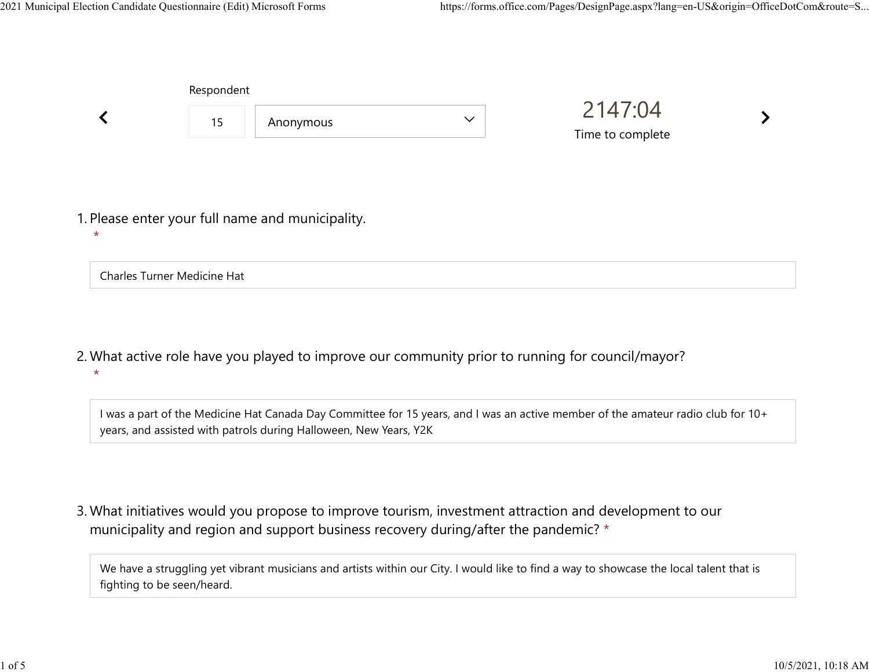| Respondent |                                                  |              |                             |  |
|------------|--------------------------------------------------|--------------|-----------------------------|--|
| 15         | Anonymous                                        | $\checkmark$ | 2147:04<br>Time to complete |  |
|            | 1. Please enter your full name and municipality. |              |                             |  |

Charles Turner Medicine Hat

 $\star$ 

What active role have you played to improve our community prior to running for council/mayor? 2.  $\star$ 

I was a part of the Medicine Hat Canada Day Committee for 15 years, and I was an active member of the amateur radio club for 10+ years, and assisted with patrols during Halloween, New Years, Y2K

What initiatives would you propose to improve tourism, investment attraction and development to our 3. municipality and region and support business recovery during/after the pandemic? \*

We have a struggling yet vibrant musicians and artists within our City. I would like to find a way to showcase the local talent that is fighting to be seen/heard.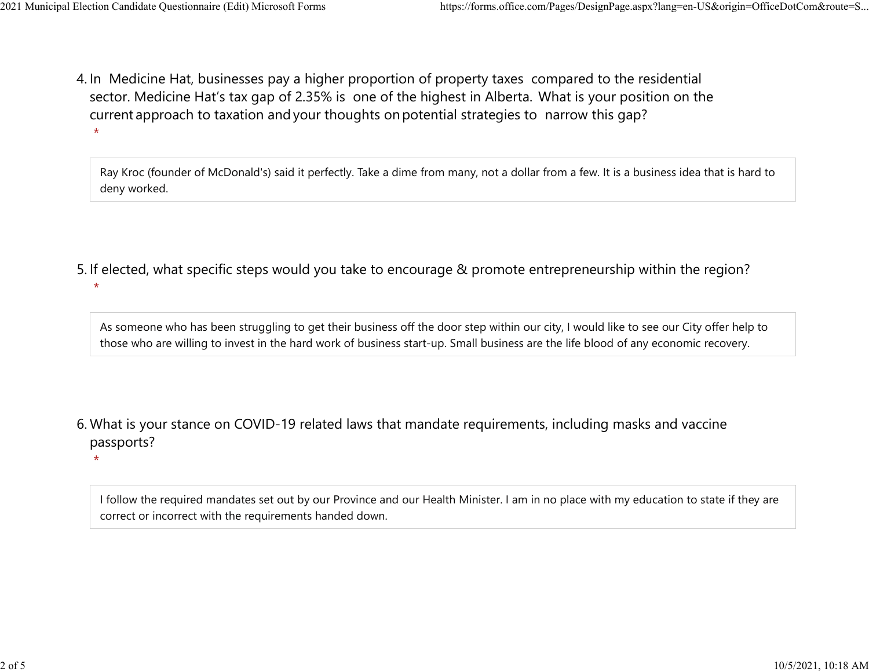$\star$ 

 $\star$ 

4. In Medicine Hat, businesses pay a higher proportion of property taxes compared to the residential sector.  Medicine Hat's tax gap of 2.35% is one of the highest in Alberta.  What is your position on the current approach to taxation and your thoughts on potential strategies to narrow this gap?  $\star$ 2021 Municipal Election Candidate Questionnaire (Edit) Microsoft Forms https://forms.office.com/Pages/DesignPage.aspx?lang=en-US&origin=OfficeDotCom&route=S...<br>A In Medicine Hat businesses nav a bigher proportion of proper

> Ray Kroc (founder of McDonald's) said it perfectly. Take a dime from many, not a dollar from a few. It is a business idea that is hard to deny worked.

5. If elected, what specific steps would you take to encourage & promote entrepreneurship within the region?

As someone who has been struggling to get their business off the door step within our city, I would like to see our City offer help to those who are willing to invest in the hard work of business start-up. Small business are the life blood of any economic recovery.

What is your stance on COVID-19 related laws that mandate requirements, including masks and vaccine 6. passports?

I follow the required mandates set out by our Province and our Health Minister. I am in no place with my education to state if they are correct or incorrect with the requirements handed down.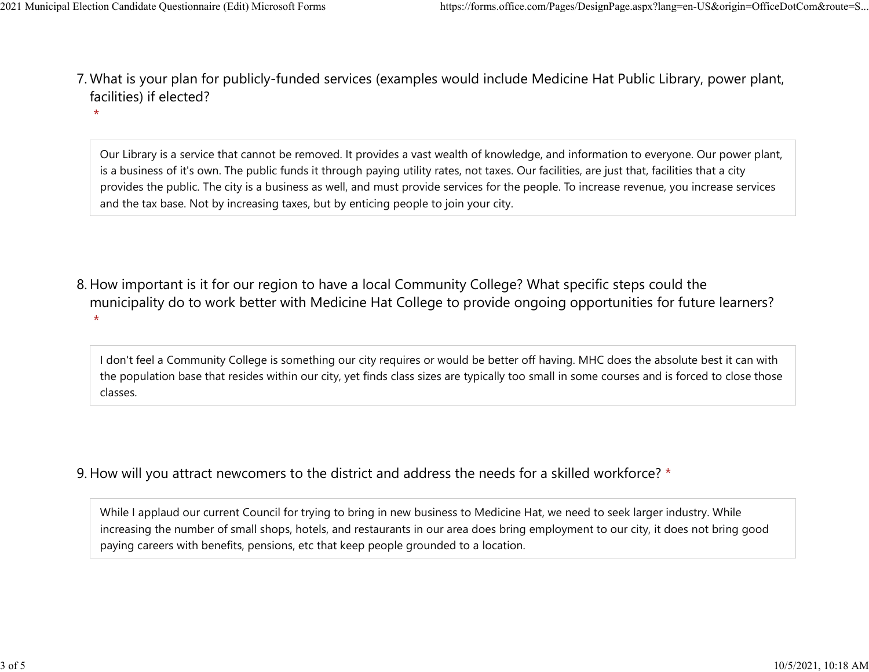- What is your plan for publicly-funded services (examples would include Medicine Hat Public Library, power plant, 7. facilities) if elected? 2021 Municipal Election Candidate Questionnaire (Edit) Microsoft Forms https://forms.office.com/Pages/DesignPage.aspx?lang=en-US&origin=OfficeDotCom&route=S...<br>7 Mhat is vour plan for publicly-funded services (examples wou
	- $\star$

Our Library is a service that cannot be removed. It provides a vast wealth of knowledge, and information to everyone. Our power plant, is a business of it's own. The public funds it through paying utility rates, not taxes. Our facilities, are just that, facilities that a city provides the public. The city is a business as well, and must provide services for the people. To increase revenue, you increase services and the tax base. Not by increasing taxes, but by enticing people to join your city.

8. How important is it for our region to have a local Community College? What specific steps could the municipality do to work better with Medicine Hat College to provide ongoing opportunities for future learners?  $\star$ 

I don't feel a Community College is something our city requires or would be better off having. MHC does the absolute best it can with the population base that resides within our city, yet finds class sizes are typically too small in some courses and is forced to close those classes.

9. How will you attract newcomers to the district and address the needs for a skilled workforce? \*

While I applaud our current Council for trying to bring in new business to Medicine Hat, we need to seek larger industry. While increasing the number of small shops, hotels, and restaurants in our area does bring employment to our city, it does not bring good paying careers with benefits, pensions, etc that keep people grounded to a location.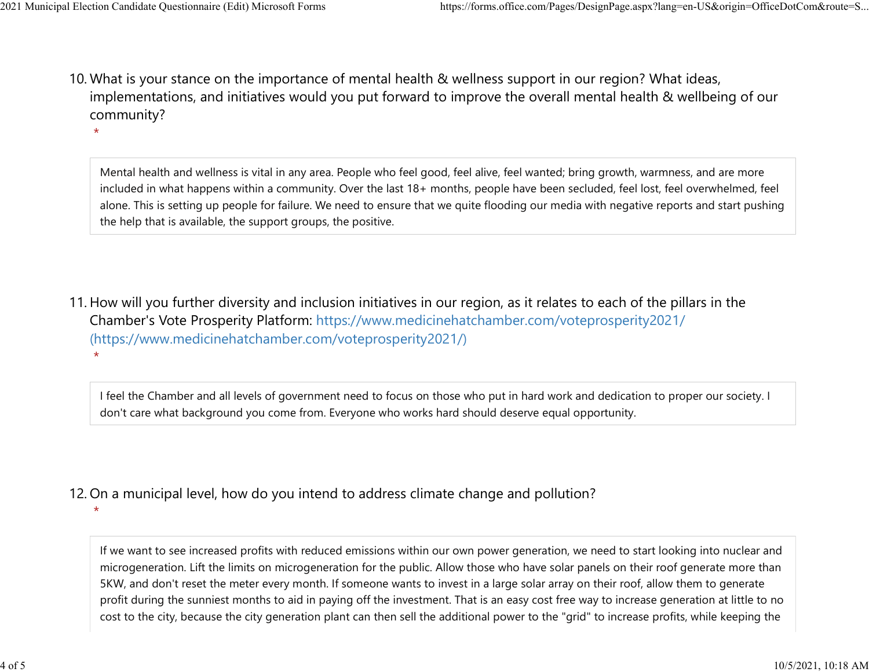$\star$ 

10. What is your stance on the importance of mental health & wellness support in our region? What ideas, implementations, and initiatives would you put forward to improve the overall mental health & wellbeing of our community? 2021 Municipal Election Candidate Questionnaire (Edit) Microsoft Forms https://forms.office.com/Pages/DesignPage.aspx?lang=en-US&origin=OfficeDotCom&route=S...<br>10 What is vour stance on the importance of mental bealth & we

> Mental health and wellness is vital in any area. People who feel good, feel alive, feel wanted; bring growth, warmness, and are more included in what happens within a community. Over the last 18+ months, people have been secluded, feel lost, feel overwhelmed, feel alone. This is setting up people for failure. We need to ensure that we quite flooding our media with negative reports and start pushing the help that is available, the support groups, the positive.

11. How will you further diversity and inclusion initiatives in our region, as it relates to each of the pillars in the Chamber's Vote Prosperity Platform: https://www.medicinehatchamber.com/voteprosperity2021/ (https://www.medicinehatchamber.com/voteprosperity2021/)  $\star$ 

I feel the Chamber and all levels of government need to focus on those who put in hard work and dedication to proper our society. I don't care what background you come from. Everyone who works hard should deserve equal opportunity.

## 12. On a municipal level, how do you intend to address climate change and pollution?

 $\star$ 

If we want to see increased profits with reduced emissions within our own power generation, we need to start looking into nuclear and microgeneration. Lift the limits on microgeneration for the public. Allow those who have solar panels on their roof generate more than 5KW, and don't reset the meter every month. If someone wants to invest in a large solar array on their roof, allow them to generate profit during the sunniest months to aid in paying off the investment. That is an easy cost free way to increase generation at little to no cost to the city, because the city generation plant can then sell the additional power to the "grid" to increase profits, while keeping the